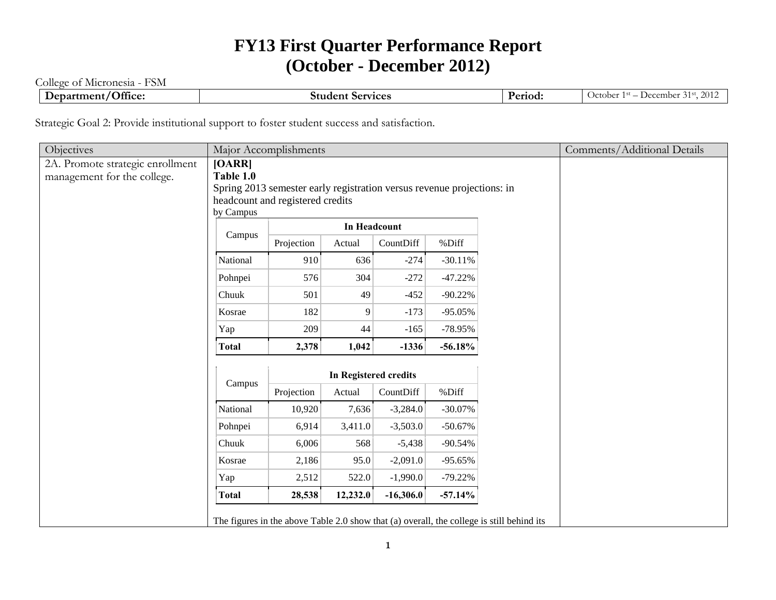## **FY13 First Quarter Performance Report (October - December 2012)**

College of Micronesia - FSM

| $\overline{\phantom{0}}$<br>$\sim$ $\sim$<br>$\mathbf{\omega}$ er<br>Jthce:<br>$. \sim$<br> | $\sim$<br>$-1000$<br>Studen<br>7 I C.C.<br>$\cdot$ . | Period: | $\bigcap$<br>Jcfober<br>mber<br>$\sim$<br>$\overline{ }$<br>. .<br>, , , |
|---------------------------------------------------------------------------------------------|------------------------------------------------------|---------|--------------------------------------------------------------------------|
|                                                                                             |                                                      |         |                                                                          |

Strategic Goal 2: Provide institutional support to foster student success and satisfaction.

| Objectives                       |              | Major Accomplishments                                                  |                              |             |           |                                                                                           | Comments/Additional Details |
|----------------------------------|--------------|------------------------------------------------------------------------|------------------------------|-------------|-----------|-------------------------------------------------------------------------------------------|-----------------------------|
| 2A. Promote strategic enrollment | [OARR]       |                                                                        |                              |             |           |                                                                                           |                             |
| management for the college.      | Table 1.0    |                                                                        |                              |             |           |                                                                                           |                             |
|                                  |              | Spring 2013 semester early registration versus revenue projections: in |                              |             |           |                                                                                           |                             |
|                                  |              | headcount and registered credits                                       |                              |             |           |                                                                                           |                             |
|                                  | by Campus    |                                                                        |                              |             |           |                                                                                           |                             |
|                                  | Campus       |                                                                        | In Headcount                 |             |           |                                                                                           |                             |
|                                  |              | Projection                                                             | Actual                       | CountDiff   | %Diff     |                                                                                           |                             |
|                                  | National     | 910                                                                    | 636                          | $-274$      | $-30.11%$ |                                                                                           |                             |
|                                  | Pohnpei      | 576                                                                    | 304                          | $-272$      | $-47.22%$ |                                                                                           |                             |
|                                  | Chuuk        | 501                                                                    | 49                           | $-452$      | $-90.22%$ |                                                                                           |                             |
|                                  | Kosrae       | 182                                                                    | 9                            | $-173$      | $-95.05%$ |                                                                                           |                             |
|                                  | Yap          | 209                                                                    | 44                           | $-165$      | $-78.95%$ |                                                                                           |                             |
|                                  | <b>Total</b> | 2,378                                                                  | 1,042                        | $-1336$     | $-56.18%$ |                                                                                           |                             |
|                                  |              |                                                                        |                              |             |           |                                                                                           |                             |
|                                  | Campus       |                                                                        | <b>In Registered credits</b> |             |           |                                                                                           |                             |
|                                  |              | Projection                                                             | Actual                       | CountDiff   | %Diff     |                                                                                           |                             |
|                                  | National     | 10,920                                                                 | 7,636                        | $-3,284.0$  | $-30.07%$ |                                                                                           |                             |
|                                  | Pohnpei      | 6,914                                                                  | 3,411.0                      | $-3,503.0$  | $-50.67%$ |                                                                                           |                             |
|                                  | Chuuk        | 6,006                                                                  | 568                          | $-5,438$    | $-90.54%$ |                                                                                           |                             |
|                                  | Kosrae       | 2,186                                                                  | 95.0                         | $-2,091.0$  | $-95.65%$ |                                                                                           |                             |
|                                  | Yap          | 2,512                                                                  | 522.0                        | $-1,990.0$  | $-79.22%$ |                                                                                           |                             |
|                                  | <b>Total</b> | 28,538                                                                 | 12,232.0                     | $-16,306.0$ | $-57.14%$ |                                                                                           |                             |
|                                  |              |                                                                        |                              |             |           | The figures in the above Table 2.0 show that (a) overall, the college is still behind its |                             |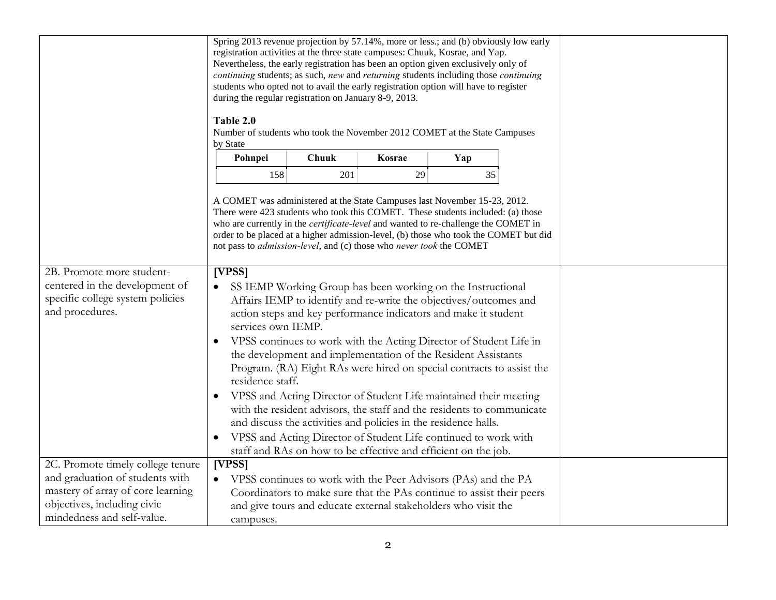|                                                                                                                    | Spring 2013 revenue projection by 57.14%, more or less.; and (b) obviously low early<br>registration activities at the three state campuses: Chuuk, Kosrae, and Yap.<br>Nevertheless, the early registration has been an option given exclusively only of<br>continuing students; as such, new and returning students including those continuing<br>students who opted not to avail the early registration option will have to register<br>during the regular registration on January 8-9, 2013.<br>Table 2.0<br>Number of students who took the November 2012 COMET at the State Campuses<br>by State |       |                                                                                                                                                                                                              |     |  |  |  |  |
|--------------------------------------------------------------------------------------------------------------------|--------------------------------------------------------------------------------------------------------------------------------------------------------------------------------------------------------------------------------------------------------------------------------------------------------------------------------------------------------------------------------------------------------------------------------------------------------------------------------------------------------------------------------------------------------------------------------------------------------|-------|--------------------------------------------------------------------------------------------------------------------------------------------------------------------------------------------------------------|-----|--|--|--|--|
|                                                                                                                    | Pohnpei                                                                                                                                                                                                                                                                                                                                                                                                                                                                                                                                                                                                | Chuuk | Kosrae                                                                                                                                                                                                       | Yap |  |  |  |  |
|                                                                                                                    | 158                                                                                                                                                                                                                                                                                                                                                                                                                                                                                                                                                                                                    | 201   | 29                                                                                                                                                                                                           | 35  |  |  |  |  |
|                                                                                                                    | A COMET was administered at the State Campuses last November 15-23, 2012.<br>There were 423 students who took this COMET. These students included: (a) those<br>who are currently in the <i>certificate-level</i> and wanted to re-challenge the COMET in<br>order to be placed at a higher admission-level, (b) those who took the COMET but did<br>not pass to <i>admission-level</i> , and (c) those who never took the COMET                                                                                                                                                                       |       |                                                                                                                                                                                                              |     |  |  |  |  |
| 2B. Promote more student-<br>centered in the development of<br>specific college system policies<br>and procedures. | [VPSS]<br>SS IEMP Working Group has been working on the Instructional<br>Affairs IEMP to identify and re-write the objectives/outcomes and<br>action steps and key performance indicators and make it student<br>services own IEMP.                                                                                                                                                                                                                                                                                                                                                                    |       |                                                                                                                                                                                                              |     |  |  |  |  |
|                                                                                                                    | residence staff.                                                                                                                                                                                                                                                                                                                                                                                                                                                                                                                                                                                       |       | VPSS continues to work with the Acting Director of Student Life in<br>the development and implementation of the Resident Assistants<br>Program. (RA) Eight RAs were hired on special contracts to assist the |     |  |  |  |  |
|                                                                                                                    | VPSS and Acting Director of Student Life maintained their meeting<br>with the resident advisors, the staff and the residents to communicate<br>and discuss the activities and policies in the residence halls.<br>VPSS and Acting Director of Student Life continued to work with                                                                                                                                                                                                                                                                                                                      |       |                                                                                                                                                                                                              |     |  |  |  |  |
|                                                                                                                    |                                                                                                                                                                                                                                                                                                                                                                                                                                                                                                                                                                                                        |       | staff and RAs on how to be effective and efficient on the job.                                                                                                                                               |     |  |  |  |  |
| 2C. Promote timely college tenure                                                                                  | [VPSS]                                                                                                                                                                                                                                                                                                                                                                                                                                                                                                                                                                                                 |       |                                                                                                                                                                                                              |     |  |  |  |  |
| and graduation of students with                                                                                    |                                                                                                                                                                                                                                                                                                                                                                                                                                                                                                                                                                                                        |       | VPSS continues to work with the Peer Advisors (PAs) and the PA                                                                                                                                               |     |  |  |  |  |
| mastery of array of core learning                                                                                  |                                                                                                                                                                                                                                                                                                                                                                                                                                                                                                                                                                                                        |       | Coordinators to make sure that the PAs continue to assist their peers                                                                                                                                        |     |  |  |  |  |
| objectives, including civic                                                                                        |                                                                                                                                                                                                                                                                                                                                                                                                                                                                                                                                                                                                        |       | and give tours and educate external stakeholders who visit the                                                                                                                                               |     |  |  |  |  |
| mindedness and self-value.                                                                                         | campuses.                                                                                                                                                                                                                                                                                                                                                                                                                                                                                                                                                                                              |       |                                                                                                                                                                                                              |     |  |  |  |  |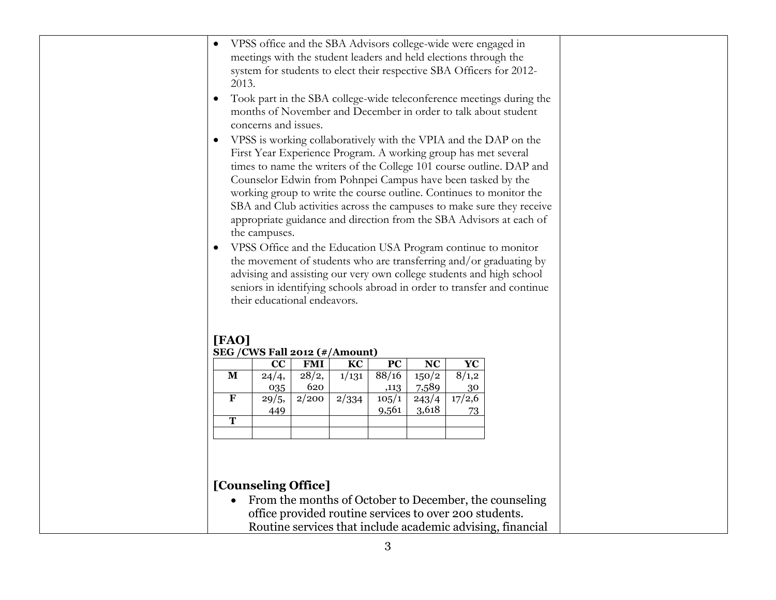| meetings with the student leaders and held elections through the<br>system for students to elect their respective SBA Officers for 2012-<br>2013.<br>$\bullet$<br>months of November and December in order to talk about student<br>concerns and issues.<br>First Year Experience Program. A working group has met several<br>Counselor Edwin from Pohnpei Campus have been tasked by the<br>the campuses.<br>VPSS Office and the Education USA Program continue to monitor<br>their educational endeavors.<br>[FAO]<br>SEG / CWS Fall 2012 (#/Amount)<br>$\overline{PC}$<br>CC<br><b>FMI</b><br>KC<br><b>NC</b><br>${\bf Y}{\bf C}$<br>88/16<br>28/2,<br>150/2<br>8/1,2<br>M<br>24/4,<br>1/131<br>620<br>7,589<br>035<br>,113<br>30<br>$\mathbf F$<br>$\frac{1}{2}/200$<br>17/2,6<br>2/334<br>105/1<br>243/4<br>29/5,<br>9,561<br>3,618<br>449<br>73<br>$\overline{T}$ | $\bullet$ | VPSS office and the SBA Advisors college-wide were engaged in |  |  |  |  |
|-------------------------------------------------------------------------------------------------------------------------------------------------------------------------------------------------------------------------------------------------------------------------------------------------------------------------------------------------------------------------------------------------------------------------------------------------------------------------------------------------------------------------------------------------------------------------------------------------------------------------------------------------------------------------------------------------------------------------------------------------------------------------------------------------------------------------------------------------------------------------|-----------|---------------------------------------------------------------|--|--|--|--|
| VPSS is working collaboratively with the VPIA and the DAP on the<br>working group to write the course outline. Continues to monitor the<br>advising and assisting our very own college students and high school                                                                                                                                                                                                                                                                                                                                                                                                                                                                                                                                                                                                                                                         |           |                                                               |  |  |  |  |
| the movement of students who are transferring and/or graduating by                                                                                                                                                                                                                                                                                                                                                                                                                                                                                                                                                                                                                                                                                                                                                                                                      |           |                                                               |  |  |  |  |
| Took part in the SBA college-wide teleconference meetings during the<br>appropriate guidance and direction from the SBA Advisors at each of                                                                                                                                                                                                                                                                                                                                                                                                                                                                                                                                                                                                                                                                                                                             |           |                                                               |  |  |  |  |
| times to name the writers of the College 101 course outline. DAP and<br>seniors in identifying schools abroad in order to transfer and continue                                                                                                                                                                                                                                                                                                                                                                                                                                                                                                                                                                                                                                                                                                                         |           |                                                               |  |  |  |  |
|                                                                                                                                                                                                                                                                                                                                                                                                                                                                                                                                                                                                                                                                                                                                                                                                                                                                         |           |                                                               |  |  |  |  |
| SBA and Club activities across the campuses to make sure they receive                                                                                                                                                                                                                                                                                                                                                                                                                                                                                                                                                                                                                                                                                                                                                                                                   |           |                                                               |  |  |  |  |
|                                                                                                                                                                                                                                                                                                                                                                                                                                                                                                                                                                                                                                                                                                                                                                                                                                                                         |           |                                                               |  |  |  |  |
|                                                                                                                                                                                                                                                                                                                                                                                                                                                                                                                                                                                                                                                                                                                                                                                                                                                                         |           |                                                               |  |  |  |  |
|                                                                                                                                                                                                                                                                                                                                                                                                                                                                                                                                                                                                                                                                                                                                                                                                                                                                         |           |                                                               |  |  |  |  |
|                                                                                                                                                                                                                                                                                                                                                                                                                                                                                                                                                                                                                                                                                                                                                                                                                                                                         |           |                                                               |  |  |  |  |
|                                                                                                                                                                                                                                                                                                                                                                                                                                                                                                                                                                                                                                                                                                                                                                                                                                                                         |           |                                                               |  |  |  |  |
|                                                                                                                                                                                                                                                                                                                                                                                                                                                                                                                                                                                                                                                                                                                                                                                                                                                                         |           |                                                               |  |  |  |  |
|                                                                                                                                                                                                                                                                                                                                                                                                                                                                                                                                                                                                                                                                                                                                                                                                                                                                         |           |                                                               |  |  |  |  |
|                                                                                                                                                                                                                                                                                                                                                                                                                                                                                                                                                                                                                                                                                                                                                                                                                                                                         |           |                                                               |  |  |  |  |
|                                                                                                                                                                                                                                                                                                                                                                                                                                                                                                                                                                                                                                                                                                                                                                                                                                                                         |           |                                                               |  |  |  |  |
|                                                                                                                                                                                                                                                                                                                                                                                                                                                                                                                                                                                                                                                                                                                                                                                                                                                                         |           |                                                               |  |  |  |  |
|                                                                                                                                                                                                                                                                                                                                                                                                                                                                                                                                                                                                                                                                                                                                                                                                                                                                         |           |                                                               |  |  |  |  |
|                                                                                                                                                                                                                                                                                                                                                                                                                                                                                                                                                                                                                                                                                                                                                                                                                                                                         |           |                                                               |  |  |  |  |
|                                                                                                                                                                                                                                                                                                                                                                                                                                                                                                                                                                                                                                                                                                                                                                                                                                                                         |           |                                                               |  |  |  |  |
|                                                                                                                                                                                                                                                                                                                                                                                                                                                                                                                                                                                                                                                                                                                                                                                                                                                                         |           |                                                               |  |  |  |  |
|                                                                                                                                                                                                                                                                                                                                                                                                                                                                                                                                                                                                                                                                                                                                                                                                                                                                         |           |                                                               |  |  |  |  |
|                                                                                                                                                                                                                                                                                                                                                                                                                                                                                                                                                                                                                                                                                                                                                                                                                                                                         |           |                                                               |  |  |  |  |
|                                                                                                                                                                                                                                                                                                                                                                                                                                                                                                                                                                                                                                                                                                                                                                                                                                                                         |           |                                                               |  |  |  |  |
|                                                                                                                                                                                                                                                                                                                                                                                                                                                                                                                                                                                                                                                                                                                                                                                                                                                                         |           |                                                               |  |  |  |  |
|                                                                                                                                                                                                                                                                                                                                                                                                                                                                                                                                                                                                                                                                                                                                                                                                                                                                         |           |                                                               |  |  |  |  |
|                                                                                                                                                                                                                                                                                                                                                                                                                                                                                                                                                                                                                                                                                                                                                                                                                                                                         |           |                                                               |  |  |  |  |
|                                                                                                                                                                                                                                                                                                                                                                                                                                                                                                                                                                                                                                                                                                                                                                                                                                                                         |           |                                                               |  |  |  |  |
|                                                                                                                                                                                                                                                                                                                                                                                                                                                                                                                                                                                                                                                                                                                                                                                                                                                                         |           |                                                               |  |  |  |  |
|                                                                                                                                                                                                                                                                                                                                                                                                                                                                                                                                                                                                                                                                                                                                                                                                                                                                         |           |                                                               |  |  |  |  |
|                                                                                                                                                                                                                                                                                                                                                                                                                                                                                                                                                                                                                                                                                                                                                                                                                                                                         |           |                                                               |  |  |  |  |
|                                                                                                                                                                                                                                                                                                                                                                                                                                                                                                                                                                                                                                                                                                                                                                                                                                                                         |           |                                                               |  |  |  |  |
|                                                                                                                                                                                                                                                                                                                                                                                                                                                                                                                                                                                                                                                                                                                                                                                                                                                                         |           |                                                               |  |  |  |  |
|                                                                                                                                                                                                                                                                                                                                                                                                                                                                                                                                                                                                                                                                                                                                                                                                                                                                         |           |                                                               |  |  |  |  |
| [Counseling Office]                                                                                                                                                                                                                                                                                                                                                                                                                                                                                                                                                                                                                                                                                                                                                                                                                                                     |           |                                                               |  |  |  |  |
| From the months of October to December, the counseling                                                                                                                                                                                                                                                                                                                                                                                                                                                                                                                                                                                                                                                                                                                                                                                                                  |           |                                                               |  |  |  |  |
| office provided routine services to over 200 students.                                                                                                                                                                                                                                                                                                                                                                                                                                                                                                                                                                                                                                                                                                                                                                                                                  |           |                                                               |  |  |  |  |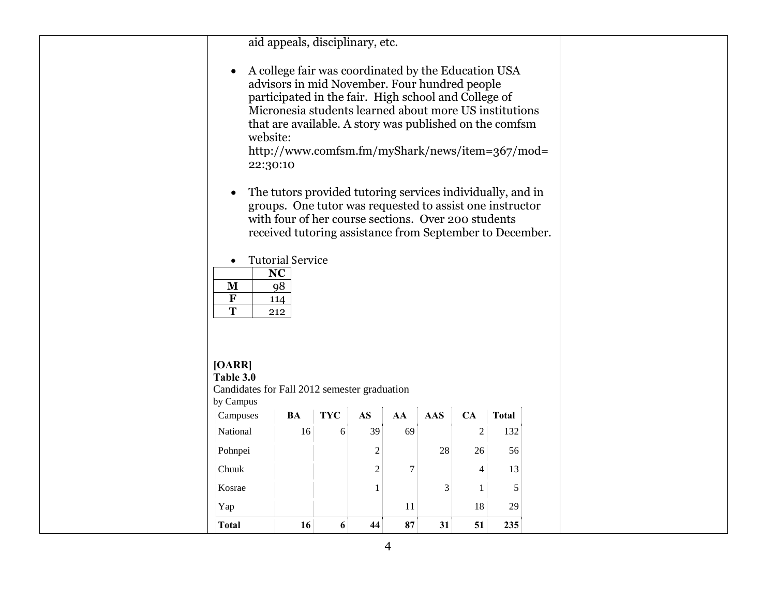| $\bullet$<br>website:<br>22:30:10<br>M<br>$\overline{\mathbf{F}}$<br>$\overline{\mathbf{T}}$ | A college fair was coordinated by the Education USA<br>advisors in mid November. Four hundred people<br>participated in the fair. High school and College of<br>Micronesia students learned about more US institutions<br>that are available. A story was published on the comfsm<br>http://www.comfsm.fm/myShark/news/item=367/mod=<br>The tutors provided tutoring services individually, and in<br>groups. One tutor was requested to assist one instructor<br>with four of her course sections. Over 200 students<br>received tutoring assistance from September to December.<br><b>Tutorial Service</b><br><b>NC</b><br>98<br>114<br>212 |            | aid appeals, disciplinary, etc. |                |            |                  |              |  |
|----------------------------------------------------------------------------------------------|-----------------------------------------------------------------------------------------------------------------------------------------------------------------------------------------------------------------------------------------------------------------------------------------------------------------------------------------------------------------------------------------------------------------------------------------------------------------------------------------------------------------------------------------------------------------------------------------------------------------------------------------------|------------|---------------------------------|----------------|------------|------------------|--------------|--|
| [OARR]<br>Table 3.0<br>Candidates for Fall 2012 semester graduation                          |                                                                                                                                                                                                                                                                                                                                                                                                                                                                                                                                                                                                                                               |            |                                 |                |            |                  |              |  |
| by Campus<br>Campuses                                                                        | <b>BA</b>                                                                                                                                                                                                                                                                                                                                                                                                                                                                                                                                                                                                                                     | <b>TYC</b> | $\mathbf{A}\mathbf{S}$          | AA             | <b>AAS</b> | CA               | <b>Total</b> |  |
| National                                                                                     | 16                                                                                                                                                                                                                                                                                                                                                                                                                                                                                                                                                                                                                                            | 6          | 39                              | 69             |            | $\boldsymbol{2}$ | 132          |  |
| Pohnpei                                                                                      |                                                                                                                                                                                                                                                                                                                                                                                                                                                                                                                                                                                                                                               |            | $\overline{c}$                  |                | 28         | 26               | 56           |  |
| Chuuk                                                                                        |                                                                                                                                                                                                                                                                                                                                                                                                                                                                                                                                                                                                                                               |            | $\mathbf{2}$                    | $\overline{7}$ |            | 4                | 13           |  |
| Kosrae                                                                                       |                                                                                                                                                                                                                                                                                                                                                                                                                                                                                                                                                                                                                                               |            | $\mathbf{1}$                    |                | 3          | $\mathbf{1}$     | $\sqrt{5}$   |  |
| Yap                                                                                          |                                                                                                                                                                                                                                                                                                                                                                                                                                                                                                                                                                                                                                               |            |                                 | 11             |            | 18               | 29           |  |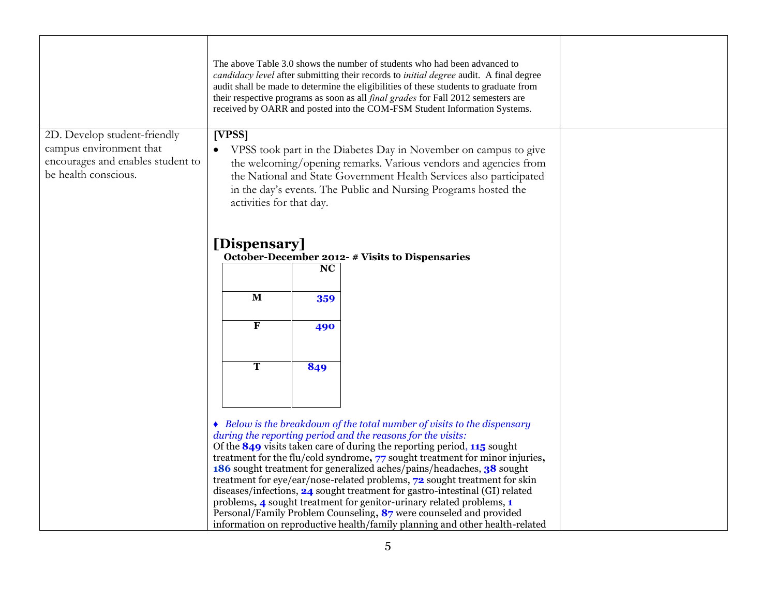|                                                                                                                      |                                                                                                                                                                                                                                                                                                                      |           | The above Table 3.0 shows the number of students who had been advanced to<br>candidacy level after submitting their records to initial degree audit. A final degree<br>audit shall be made to determine the eligibilities of these students to graduate from<br>their respective programs as soon as all <i>final grades</i> for Fall 2012 semesters are<br>received by OARR and posted into the COM-FSM Student Information Systems.                                                                                                                                                                                                                                                                                                                                    |  |
|----------------------------------------------------------------------------------------------------------------------|----------------------------------------------------------------------------------------------------------------------------------------------------------------------------------------------------------------------------------------------------------------------------------------------------------------------|-----------|--------------------------------------------------------------------------------------------------------------------------------------------------------------------------------------------------------------------------------------------------------------------------------------------------------------------------------------------------------------------------------------------------------------------------------------------------------------------------------------------------------------------------------------------------------------------------------------------------------------------------------------------------------------------------------------------------------------------------------------------------------------------------|--|
| 2D. Develop student-friendly<br>campus environment that<br>encourages and enables student to<br>be health conscious. | [VPSS]<br>VPSS took part in the Diabetes Day in November on campus to give<br>the welcoming/opening remarks. Various vendors and agencies from<br>the National and State Government Health Services also participated<br>in the day's events. The Public and Nursing Programs hosted the<br>activities for that day. |           |                                                                                                                                                                                                                                                                                                                                                                                                                                                                                                                                                                                                                                                                                                                                                                          |  |
|                                                                                                                      | [Dispensary]                                                                                                                                                                                                                                                                                                         | <b>NC</b> | October-December 2012- # Visits to Dispensaries                                                                                                                                                                                                                                                                                                                                                                                                                                                                                                                                                                                                                                                                                                                          |  |
|                                                                                                                      | $\mathbf M$                                                                                                                                                                                                                                                                                                          | 359       |                                                                                                                                                                                                                                                                                                                                                                                                                                                                                                                                                                                                                                                                                                                                                                          |  |
|                                                                                                                      | $\mathbf F$                                                                                                                                                                                                                                                                                                          | 490       |                                                                                                                                                                                                                                                                                                                                                                                                                                                                                                                                                                                                                                                                                                                                                                          |  |
|                                                                                                                      | T                                                                                                                                                                                                                                                                                                                    | 849       |                                                                                                                                                                                                                                                                                                                                                                                                                                                                                                                                                                                                                                                                                                                                                                          |  |
|                                                                                                                      |                                                                                                                                                                                                                                                                                                                      |           | • Below is the breakdown of the total number of visits to the dispensary<br>during the reporting period and the reasons for the visits:<br>Of the $849$ visits taken care of during the reporting period, $115$ sought<br>treatment for the flu/cold syndrome, 77 sought treatment for minor injuries,<br>186 sought treatment for generalized aches/pains/headaches, 38 sought<br>treatment for eye/ear/nose-related problems, 72 sought treatment for skin<br>diseases/infections, 24 sought treatment for gastro-intestinal (GI) related<br>problems, 4 sought treatment for genitor-urinary related problems, 1<br>Personal/Family Problem Counseling, 87 were counseled and provided<br>information on reproductive health/family planning and other health-related |  |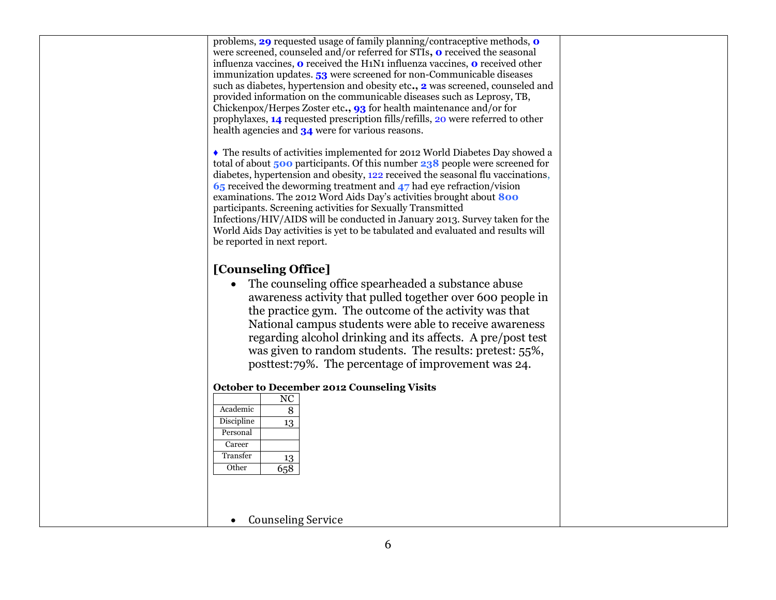problems, **29** requested usage of family planning/contraceptive methods, **0**  were screened, counseled and/or referred for STIs**, 0** received the seasonal influenza vaccines, **0** received the H1N1 influenza vaccines, **0** received other immunization updates. **53** were screened for non-Communicable diseases such as diabetes, hypertension and obesity etc**., 2** was screened, counseled and provided information on the communicable diseases such as Leprosy, TB, Chickenpox/Herpes Zoster etc**., 93** for health maintenance and/or for prophylaxes, **14** requested prescription fills/refills, 20 were referred to other health agencies and **34** were for various reasons.

*♦* The results of activities implemented for 2012 World Diabetes Day showed a total of about **500** participants. Of this number **238** people were screened for diabetes, hypertension and obesity, 122 received the seasonal flu vaccinations, **65** received the deworming treatment and **47** had eye refraction/vision examinations. The 2012 Word Aids Day's activities brought about **800**  participants. Screening activities for Sexually Transmitted Infections/HIV/AIDS will be conducted in January 2013. Survey taken for the World Aids Day activities is yet to be tabulated and evaluated and results will be reported in next report.

## **[Counseling Office]**

 The counseling office spearheaded a substance abuse awareness activity that pulled together over 600 people in the practice gym. The outcome of the activity was that National campus students were able to receive awareness regarding alcohol drinking and its affects. A pre/post test was given to random students. The results: pretest: 55%, posttest:79%. The percentage of improvement was 24.

## **October to December 2012 Counseling Visits**

| NC  |
|-----|
| 8   |
| 13  |
|     |
|     |
| 13  |
| 658 |
|     |

## • Counseling Service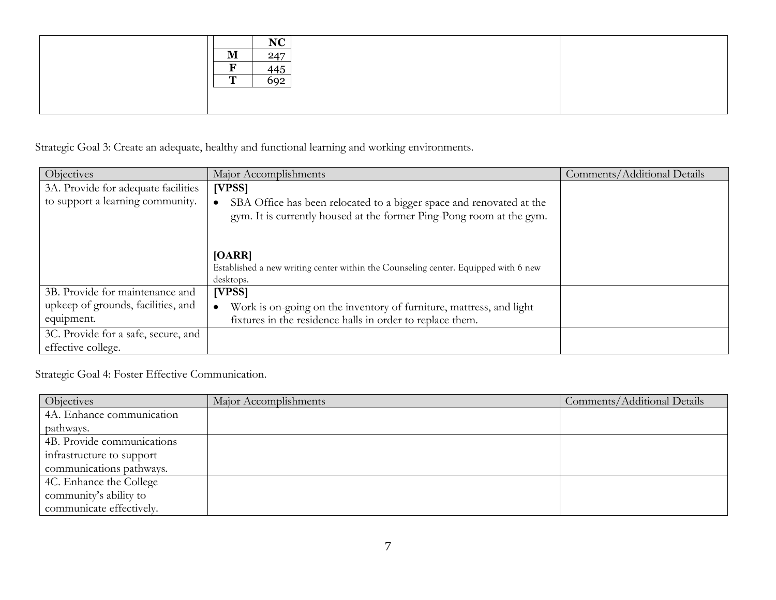|                  | $\bf N\bf\Omega$<br><b>TAC</b> |  |
|------------------|--------------------------------|--|
| 'N<br><b>TAT</b> | 247                            |  |
| ┳                | 115<br>ᆩ                       |  |
| $\mathbf{r}$     | 602                            |  |
|                  |                                |  |
|                  |                                |  |

Strategic Goal 3: Create an adequate, healthy and functional learning and working environments.

| Objectives                          | Major Accomplishments                                                                                                                        | Comments/Additional Details |
|-------------------------------------|----------------------------------------------------------------------------------------------------------------------------------------------|-----------------------------|
| 3A. Provide for adequate facilities | [VPSS]                                                                                                                                       |                             |
| to support a learning community.    | SBA Office has been relocated to a bigger space and renovated at the<br>gym. It is currently housed at the former Ping-Pong room at the gym. |                             |
|                                     | [OARR]<br>Established a new writing center within the Counseling center. Equipped with 6 new<br>desktops.                                    |                             |
| 3B. Provide for maintenance and     | [VPSS]                                                                                                                                       |                             |
| upkeep of grounds, facilities, and  | Work is on-going on the inventory of furniture, mattress, and light                                                                          |                             |
| equipment.                          | fixtures in the residence halls in order to replace them.                                                                                    |                             |
| 3C. Provide for a safe, secure, and |                                                                                                                                              |                             |
| effective college.                  |                                                                                                                                              |                             |

Strategic Goal 4: Foster Effective Communication.

| Objectives                 | Major Accomplishments | Comments/Additional Details |
|----------------------------|-----------------------|-----------------------------|
| 4A. Enhance communication  |                       |                             |
| pathways.                  |                       |                             |
| 4B. Provide communications |                       |                             |
| infrastructure to support  |                       |                             |
| communications pathways.   |                       |                             |
| 4C. Enhance the College    |                       |                             |
| community's ability to     |                       |                             |
| communicate effectively.   |                       |                             |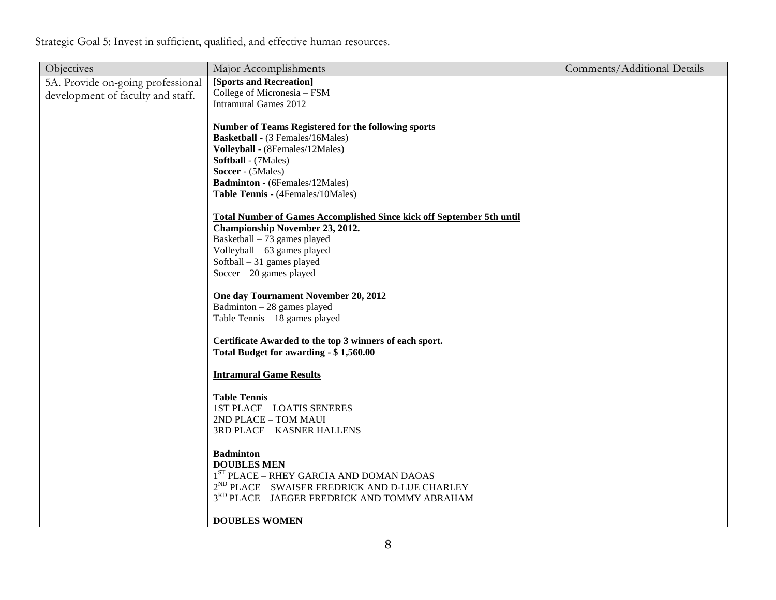Strategic Goal 5: Invest in sufficient, qualified, and effective human resources.

| Objectives                        | Major Accomplishments                                                        | Comments/Additional Details |
|-----------------------------------|------------------------------------------------------------------------------|-----------------------------|
| 5A. Provide on-going professional | [Sports and Recreation]                                                      |                             |
| development of faculty and staff. | College of Micronesia - FSM                                                  |                             |
|                                   | <b>Intramural Games 2012</b>                                                 |                             |
|                                   |                                                                              |                             |
|                                   | <b>Number of Teams Registered for the following sports</b>                   |                             |
|                                   | <b>Basketball</b> - (3 Females/16Males)                                      |                             |
|                                   | Volleyball - (8Females/12Males)                                              |                             |
|                                   | <b>Softball</b> - (7Males)                                                   |                             |
|                                   | Soccer - (5Males)                                                            |                             |
|                                   | <b>Badminton</b> - (6Females/12Males)                                        |                             |
|                                   | Table Tennis - (4Females/10Males)                                            |                             |
|                                   |                                                                              |                             |
|                                   | <b>Total Number of Games Accomplished Since kick off September 5th until</b> |                             |
|                                   | <b>Championship November 23, 2012.</b>                                       |                             |
|                                   | Basketball - 73 games played                                                 |                             |
|                                   | Volleyball - 63 games played<br>Softball $-31$ games played                  |                             |
|                                   | Soccer $-20$ games played                                                    |                             |
|                                   |                                                                              |                             |
|                                   | One day Tournament November 20, 2012                                         |                             |
|                                   | Badminton $-28$ games played                                                 |                             |
|                                   | Table Tennis - 18 games played                                               |                             |
|                                   |                                                                              |                             |
|                                   | Certificate Awarded to the top 3 winners of each sport.                      |                             |
|                                   | Total Budget for awarding - \$1,560.00                                       |                             |
|                                   |                                                                              |                             |
|                                   | <b>Intramural Game Results</b>                                               |                             |
|                                   |                                                                              |                             |
|                                   | <b>Table Tennis</b>                                                          |                             |
|                                   | <b>1ST PLACE - LOATIS SENERES</b>                                            |                             |
|                                   | 2ND PLACE - TOM MAUI                                                         |                             |
|                                   | 3RD PLACE - KASNER HALLENS                                                   |                             |
|                                   |                                                                              |                             |
|                                   | <b>Badminton</b>                                                             |                             |
|                                   | <b>DOUBLES MEN</b>                                                           |                             |
|                                   | $1ST$ PLACE – RHEY GARCIA AND DOMAN DAOAS                                    |                             |
|                                   | $2^{ND}$ PLACE – SWAISER FREDRICK AND D-LUE CHARLEY                          |                             |
|                                   | 3RD PLACE - JAEGER FREDRICK AND TOMMY ABRAHAM                                |                             |
|                                   | <b>DOUBLES WOMEN</b>                                                         |                             |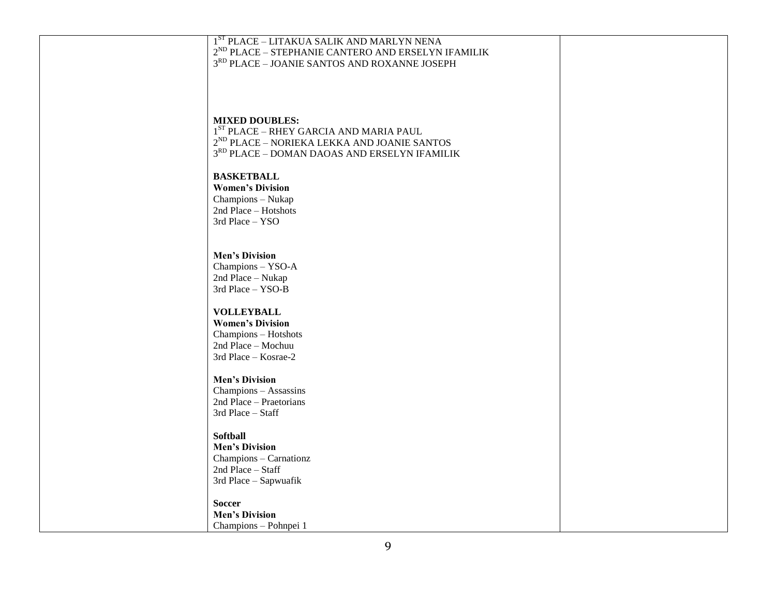| 1ST PLACE - LITAKUA SALIK AND MARLYN NENA                   |  |
|-------------------------------------------------------------|--|
| $2^{\rm ND}$ PLACE – STEPHANIE CANTERO AND ERSELYN IFAMILIK |  |
| 3 <sup>RD</sup> PLACE - JOANIE SANTOS AND ROXANNE JOSEPH    |  |
|                                                             |  |
|                                                             |  |
|                                                             |  |
|                                                             |  |
|                                                             |  |
|                                                             |  |
| <b>MIXED DOUBLES:</b>                                       |  |
| $1ST$ PLACE – RHEY GARCIA AND MARIA PAUL                    |  |
|                                                             |  |
| $2^{\rm ND}$ PLACE – NORIEKA LEKKA AND JOANIE SANTOS        |  |
| 3RD PLACE - DOMAN DAOAS AND ERSELYN IFAMILIK                |  |
|                                                             |  |
|                                                             |  |
| <b>BASKETBALL</b>                                           |  |
| <b>Women's Division</b>                                     |  |
| Champions - Nukap                                           |  |
|                                                             |  |
| 2nd Place - Hotshots                                        |  |
| 3rd Place - YSO                                             |  |
|                                                             |  |
|                                                             |  |
|                                                             |  |
| <b>Men's Division</b>                                       |  |
| Champions - YSO-A                                           |  |
|                                                             |  |
| 2nd Place - Nukap                                           |  |
| 3rd Place - YSO-B                                           |  |
|                                                             |  |
| <b>VOLLEYBALL</b>                                           |  |
|                                                             |  |
| <b>Women's Division</b>                                     |  |
| Champions - Hotshots                                        |  |
| 2nd Place - Mochuu                                          |  |
|                                                             |  |
| 3rd Place - Kosrae-2                                        |  |
|                                                             |  |
| <b>Men's Division</b>                                       |  |
|                                                             |  |
| Champions - Assassins                                       |  |
| 2nd Place - Praetorians                                     |  |
| 3rd Place - Staff                                           |  |
|                                                             |  |
|                                                             |  |
| <b>Softball</b>                                             |  |
| <b>Men's Division</b>                                       |  |
| Champions - Carnationz                                      |  |
|                                                             |  |
| 2nd Place - Staff                                           |  |
| 3rd Place - Sapwuafik                                       |  |
|                                                             |  |
|                                                             |  |
| <b>Soccer</b>                                               |  |
| <b>Men's Division</b>                                       |  |
| Champions - Pohnpei 1                                       |  |
|                                                             |  |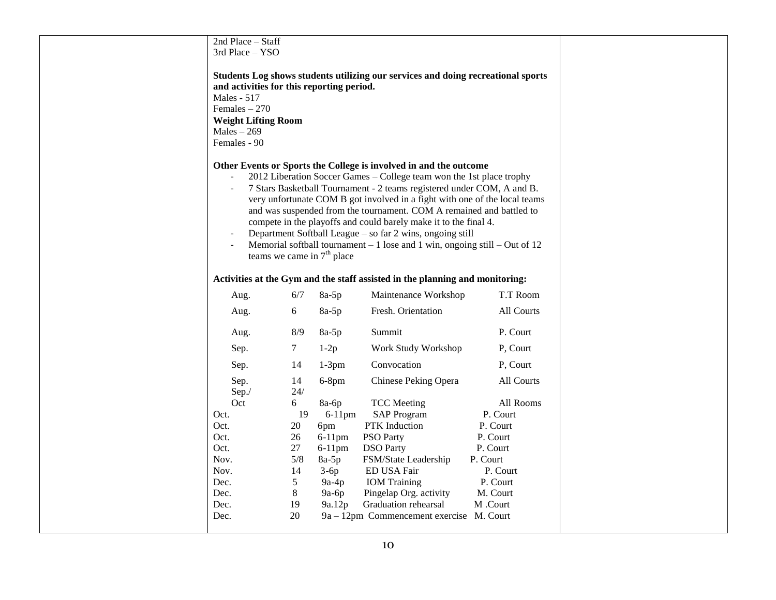| 2nd Place - Staff                                                                                                                         |                                                   |                                                                                       |                                                                                                                                                                                                                                                                                                                                                                                                                                                                                                                                                                                             |                                                                                              |
|-------------------------------------------------------------------------------------------------------------------------------------------|---------------------------------------------------|---------------------------------------------------------------------------------------|---------------------------------------------------------------------------------------------------------------------------------------------------------------------------------------------------------------------------------------------------------------------------------------------------------------------------------------------------------------------------------------------------------------------------------------------------------------------------------------------------------------------------------------------------------------------------------------------|----------------------------------------------------------------------------------------------|
| 3rd Place - YSO                                                                                                                           |                                                   |                                                                                       |                                                                                                                                                                                                                                                                                                                                                                                                                                                                                                                                                                                             |                                                                                              |
| and activities for this reporting period.<br>Males - 517<br>Females $-270$<br><b>Weight Lifting Room</b><br>$Males - 269$<br>Females - 90 |                                                   |                                                                                       | Students Log shows students utilizing our services and doing recreational sports                                                                                                                                                                                                                                                                                                                                                                                                                                                                                                            |                                                                                              |
| $\overline{\phantom{a}}$<br>$\bar{\phantom{a}}$                                                                                           |                                                   | teams we came in $7th$ place                                                          | Other Events or Sports the College is involved in and the outcome<br>2012 Liberation Soccer Games - College team won the 1st place trophy<br>7 Stars Basketball Tournament - 2 teams registered under COM, A and B.<br>very unfortunate COM B got involved in a fight with one of the local teams<br>and was suspended from the tournament. COM A remained and battled to<br>compete in the playoffs and could barely make it to the final 4.<br>Department Softball League - so far 2 wins, ongoing still<br>Memorial softball tournament $-1$ lose and 1 win, ongoing still $-$ Out of 12 |                                                                                              |
|                                                                                                                                           |                                                   |                                                                                       | Activities at the Gym and the staff assisted in the planning and monitoring:                                                                                                                                                                                                                                                                                                                                                                                                                                                                                                                |                                                                                              |
| Aug.                                                                                                                                      | 6/7                                               | $8a-5p$                                                                               | Maintenance Workshop                                                                                                                                                                                                                                                                                                                                                                                                                                                                                                                                                                        | T.T Room                                                                                     |
| Aug.                                                                                                                                      | 6                                                 | $8a-5p$                                                                               | Fresh. Orientation                                                                                                                                                                                                                                                                                                                                                                                                                                                                                                                                                                          | All Courts                                                                                   |
| Aug.                                                                                                                                      | 8/9                                               | $8a-5p$                                                                               | Summit                                                                                                                                                                                                                                                                                                                                                                                                                                                                                                                                                                                      | P. Court                                                                                     |
| Sep.                                                                                                                                      | $\tau$                                            | $1-2p$                                                                                | Work Study Workshop                                                                                                                                                                                                                                                                                                                                                                                                                                                                                                                                                                         | P, Court                                                                                     |
| Sep.                                                                                                                                      | 14                                                | $1-3pm$                                                                               | Convocation                                                                                                                                                                                                                                                                                                                                                                                                                                                                                                                                                                                 | P, Court                                                                                     |
| Sep.<br>Sep./<br>Oct                                                                                                                      | 14<br>24/<br>6                                    | $6-8$ pm<br>8a-6p                                                                     | Chinese Peking Opera<br><b>TCC</b> Meeting                                                                                                                                                                                                                                                                                                                                                                                                                                                                                                                                                  | All Courts<br>All Rooms                                                                      |
| Oct.<br>Oct.<br>Oct.<br>Oct.<br>Nov.<br>Nov.<br>Dec.<br>Dec.                                                                              | 19<br>20<br>26<br>27<br>5/8<br>14<br>5<br>$\,8\,$ | $6-11$ pm<br>6pm<br>$6-11$ pm<br>$6-11$ pm<br>$8a-5p$<br>$3-6p$<br>$9a-4p$<br>$9a-6p$ | <b>SAP Program</b><br>PTK Induction<br><b>PSO Party</b><br><b>DSO</b> Party<br>FSM/State Leadership<br>ED USA Fair<br><b>IOM</b> Training<br>Pingelap Org. activity                                                                                                                                                                                                                                                                                                                                                                                                                         | P. Court<br>P. Court<br>P. Court<br>P. Court<br>P. Court<br>P. Court<br>P. Court<br>M. Court |
| Dec.<br>Dec.                                                                                                                              | 19<br>20                                          | 9a.12p                                                                                | Graduation rehearsal<br>9a – 12pm Commencement exercise M. Court                                                                                                                                                                                                                                                                                                                                                                                                                                                                                                                            | M .Court                                                                                     |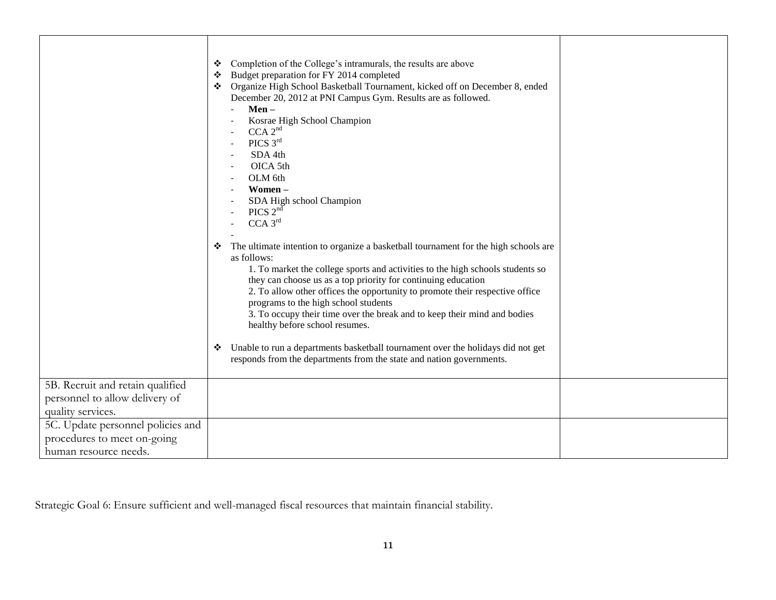|                                   | Completion of the College's intramurals, the results are above<br>❖<br>Budget preparation for FY 2014 completed<br>❖<br>Organize High School Basketball Tournament, kicked off on December 8, ended<br>❖<br>December 20, 2012 at PNI Campus Gym. Results are as followed.<br>$Men -$<br>Kosrae High School Champion<br>CCA 2 <sup>nd</sup><br>PICS 3rd<br>SDA 4th<br>OICA 5th<br>OLM 6th<br>Women-<br>SDA High school Champion<br>PICS $2^{n\bar{d}}$<br>$CCA$ $3rd$<br>The ultimate intention to organize a basketball tournament for the high schools are<br>❖<br>as follows:<br>1. To market the college sports and activities to the high schools students so<br>they can choose us as a top priority for continuing education<br>2. To allow other offices the opportunity to promote their respective office<br>programs to the high school students<br>3. To occupy their time over the break and to keep their mind and bodies<br>healthy before school resumes.<br>Unable to run a departments basketball tournament over the holidays did not get<br>❖<br>responds from the departments from the state and nation governments. |  |
|-----------------------------------|------------------------------------------------------------------------------------------------------------------------------------------------------------------------------------------------------------------------------------------------------------------------------------------------------------------------------------------------------------------------------------------------------------------------------------------------------------------------------------------------------------------------------------------------------------------------------------------------------------------------------------------------------------------------------------------------------------------------------------------------------------------------------------------------------------------------------------------------------------------------------------------------------------------------------------------------------------------------------------------------------------------------------------------------------------------------------------------------------------------------------------------|--|
| 5B. Recruit and retain qualified  |                                                                                                                                                                                                                                                                                                                                                                                                                                                                                                                                                                                                                                                                                                                                                                                                                                                                                                                                                                                                                                                                                                                                          |  |
| personnel to allow delivery of    |                                                                                                                                                                                                                                                                                                                                                                                                                                                                                                                                                                                                                                                                                                                                                                                                                                                                                                                                                                                                                                                                                                                                          |  |
| quality services.                 |                                                                                                                                                                                                                                                                                                                                                                                                                                                                                                                                                                                                                                                                                                                                                                                                                                                                                                                                                                                                                                                                                                                                          |  |
| 5C. Update personnel policies and |                                                                                                                                                                                                                                                                                                                                                                                                                                                                                                                                                                                                                                                                                                                                                                                                                                                                                                                                                                                                                                                                                                                                          |  |
| procedures to meet on-going       |                                                                                                                                                                                                                                                                                                                                                                                                                                                                                                                                                                                                                                                                                                                                                                                                                                                                                                                                                                                                                                                                                                                                          |  |
| human resource needs.             |                                                                                                                                                                                                                                                                                                                                                                                                                                                                                                                                                                                                                                                                                                                                                                                                                                                                                                                                                                                                                                                                                                                                          |  |

Strategic Goal 6: Ensure sufficient and well-managed fiscal resources that maintain financial stability.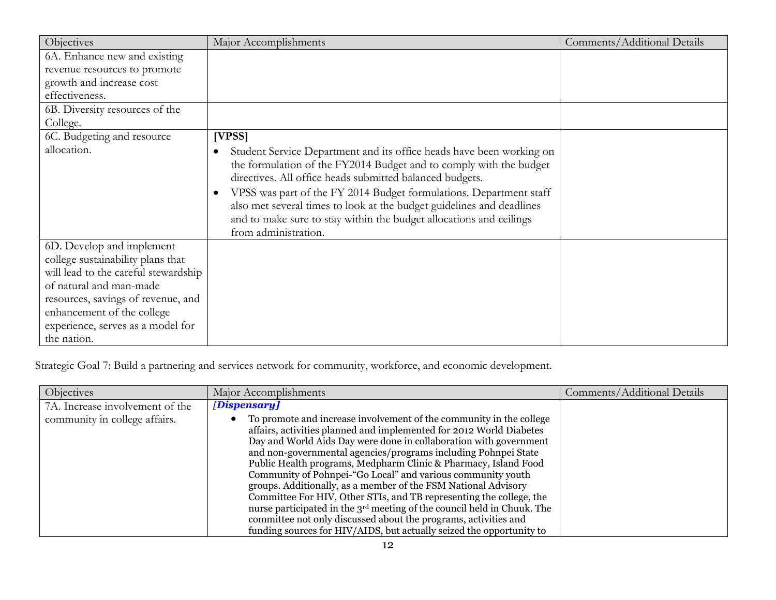| Objectives                                                                | Major Accomplishments                                                                                                                                                                                                                                                                                                                                                                                                                                | Comments/Additional Details |
|---------------------------------------------------------------------------|------------------------------------------------------------------------------------------------------------------------------------------------------------------------------------------------------------------------------------------------------------------------------------------------------------------------------------------------------------------------------------------------------------------------------------------------------|-----------------------------|
| 6A. Enhance new and existing                                              |                                                                                                                                                                                                                                                                                                                                                                                                                                                      |                             |
| revenue resources to promote                                              |                                                                                                                                                                                                                                                                                                                                                                                                                                                      |                             |
| growth and increase cost                                                  |                                                                                                                                                                                                                                                                                                                                                                                                                                                      |                             |
| effectiveness.                                                            |                                                                                                                                                                                                                                                                                                                                                                                                                                                      |                             |
| 6B. Diversity resources of the                                            |                                                                                                                                                                                                                                                                                                                                                                                                                                                      |                             |
| College.                                                                  |                                                                                                                                                                                                                                                                                                                                                                                                                                                      |                             |
| 6C. Budgeting and resource                                                | [VPSS]                                                                                                                                                                                                                                                                                                                                                                                                                                               |                             |
| allocation.                                                               | Student Service Department and its office heads have been working on<br>the formulation of the FY2014 Budget and to comply with the budget<br>directives. All office heads submitted balanced budgets.<br>VPSS was part of the FY 2014 Budget formulations. Department staff<br>also met several times to look at the budget guidelines and deadlines<br>and to make sure to stay within the budget allocations and ceilings<br>from administration. |                             |
| 6D. Develop and implement                                                 |                                                                                                                                                                                                                                                                                                                                                                                                                                                      |                             |
| college sustainability plans that<br>will lead to the careful stewardship |                                                                                                                                                                                                                                                                                                                                                                                                                                                      |                             |
| of natural and man-made                                                   |                                                                                                                                                                                                                                                                                                                                                                                                                                                      |                             |
| resources, savings of revenue, and                                        |                                                                                                                                                                                                                                                                                                                                                                                                                                                      |                             |
| enhancement of the college                                                |                                                                                                                                                                                                                                                                                                                                                                                                                                                      |                             |
| experience, serves as a model for                                         |                                                                                                                                                                                                                                                                                                                                                                                                                                                      |                             |
| the nation.                                                               |                                                                                                                                                                                                                                                                                                                                                                                                                                                      |                             |

Strategic Goal 7: Build a partnering and services network for community, workforce, and economic development.

| Objectives                      | Major Accomplishments                                                                                                                                                                                                                                                                                                                                                                                                                                                                                                                                                                                                                                                                                                                                                                          | Comments/Additional Details |
|---------------------------------|------------------------------------------------------------------------------------------------------------------------------------------------------------------------------------------------------------------------------------------------------------------------------------------------------------------------------------------------------------------------------------------------------------------------------------------------------------------------------------------------------------------------------------------------------------------------------------------------------------------------------------------------------------------------------------------------------------------------------------------------------------------------------------------------|-----------------------------|
| 7A. Increase involvement of the | [Dispensary]                                                                                                                                                                                                                                                                                                                                                                                                                                                                                                                                                                                                                                                                                                                                                                                   |                             |
| community in college affairs.   | To promote and increase involvement of the community in the college<br>affairs, activities planned and implemented for 2012 World Diabetes<br>Day and World Aids Day were done in collaboration with government<br>and non-governmental agencies/programs including Pohnpei State<br>Public Health programs, Medpharm Clinic & Pharmacy, Island Food<br>Community of Pohnpei-"Go Local" and various community youth<br>groups. Additionally, as a member of the FSM National Advisory<br>Committee For HIV, Other STIs, and TB representing the college, the<br>nurse participated in the 3 <sup>rd</sup> meeting of the council held in Chuuk. The<br>committee not only discussed about the programs, activities and<br>funding sources for HIV/AIDS, but actually seized the opportunity to |                             |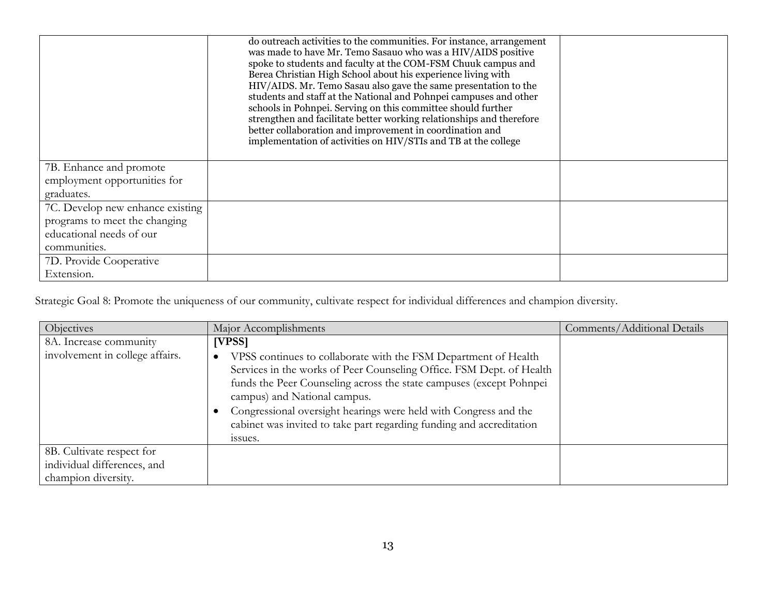|                                  | do outreach activities to the communities. For instance, arrangement<br>was made to have Mr. Temo Sasauo who was a HIV/AIDS positive<br>spoke to students and faculty at the COM-FSM Chuuk campus and<br>Berea Christian High School about his experience living with<br>HIV/AIDS. Mr. Temo Sasau also gave the same presentation to the<br>students and staff at the National and Pohnpei campuses and other<br>schools in Pohnpei. Serving on this committee should further<br>strengthen and facilitate better working relationships and therefore<br>better collaboration and improvement in coordination and<br>implementation of activities on HIV/STIs and TB at the college |  |
|----------------------------------|-------------------------------------------------------------------------------------------------------------------------------------------------------------------------------------------------------------------------------------------------------------------------------------------------------------------------------------------------------------------------------------------------------------------------------------------------------------------------------------------------------------------------------------------------------------------------------------------------------------------------------------------------------------------------------------|--|
| 7B. Enhance and promote          |                                                                                                                                                                                                                                                                                                                                                                                                                                                                                                                                                                                                                                                                                     |  |
| employment opportunities for     |                                                                                                                                                                                                                                                                                                                                                                                                                                                                                                                                                                                                                                                                                     |  |
| graduates.                       |                                                                                                                                                                                                                                                                                                                                                                                                                                                                                                                                                                                                                                                                                     |  |
| 7C. Develop new enhance existing |                                                                                                                                                                                                                                                                                                                                                                                                                                                                                                                                                                                                                                                                                     |  |
| programs to meet the changing    |                                                                                                                                                                                                                                                                                                                                                                                                                                                                                                                                                                                                                                                                                     |  |
| educational needs of our         |                                                                                                                                                                                                                                                                                                                                                                                                                                                                                                                                                                                                                                                                                     |  |
| communities.                     |                                                                                                                                                                                                                                                                                                                                                                                                                                                                                                                                                                                                                                                                                     |  |
| 7D. Provide Cooperative          |                                                                                                                                                                                                                                                                                                                                                                                                                                                                                                                                                                                                                                                                                     |  |
| Extension.                       |                                                                                                                                                                                                                                                                                                                                                                                                                                                                                                                                                                                                                                                                                     |  |

Strategic Goal 8: Promote the uniqueness of our community, cultivate respect for individual differences and champion diversity.

| Objectives                                                                      | Major Accomplishments                                                                                                                                                                                                                                                                                                                                                                                           | Comments/Additional Details |
|---------------------------------------------------------------------------------|-----------------------------------------------------------------------------------------------------------------------------------------------------------------------------------------------------------------------------------------------------------------------------------------------------------------------------------------------------------------------------------------------------------------|-----------------------------|
| 8A. Increase community<br>involvement in college affairs.                       | [VPSS]<br>VPSS continues to collaborate with the FSM Department of Health<br>Services in the works of Peer Counseling Office. FSM Dept. of Health<br>funds the Peer Counseling across the state campuses (except Pohnpei<br>campus) and National campus.<br>Congressional oversight hearings were held with Congress and the<br>cabinet was invited to take part regarding funding and accreditation<br>issues. |                             |
| 8B. Cultivate respect for<br>individual differences, and<br>champion diversity. |                                                                                                                                                                                                                                                                                                                                                                                                                 |                             |